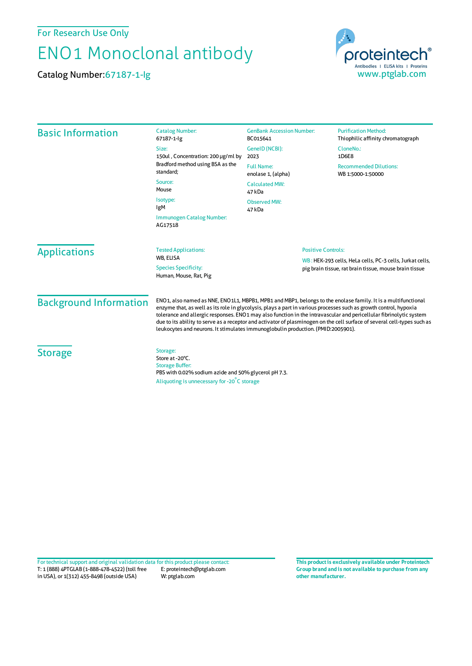For Research Use Only

## ENO1 Monoclonal antibody

Catalog Number:67187-1-Ig



| <b>Basic Information</b>      | <b>Catalog Number:</b><br>67187-1-lg                                                                                                                                                                                                                                                                                                                                                                                                                                                                                                                                     | <b>GenBank Accession Number:</b><br>BC015641                                                                                                    | <b>Purification Method:</b><br>Thiophilic affinity chromatograph |
|-------------------------------|--------------------------------------------------------------------------------------------------------------------------------------------------------------------------------------------------------------------------------------------------------------------------------------------------------------------------------------------------------------------------------------------------------------------------------------------------------------------------------------------------------------------------------------------------------------------------|-------------------------------------------------------------------------------------------------------------------------------------------------|------------------------------------------------------------------|
|                               | Size:<br>150ul, Concentration: 200 µg/ml by<br>Bradford method using BSA as the<br>standard;                                                                                                                                                                                                                                                                                                                                                                                                                                                                             | GeneID (NCBI):<br>2023                                                                                                                          | CloneNo.:<br>1D6E8                                               |
|                               |                                                                                                                                                                                                                                                                                                                                                                                                                                                                                                                                                                          | <b>Full Name:</b><br>enolase 1, (alpha)                                                                                                         | <b>Recommended Dilutions:</b><br>WB 1:5000-1:50000               |
|                               | Source:<br>Mouse                                                                                                                                                                                                                                                                                                                                                                                                                                                                                                                                                         | <b>Calculated MW:</b><br>47 kDa                                                                                                                 |                                                                  |
|                               | Isotype:<br>IgM<br>Immunogen Catalog Number:<br>AG17518                                                                                                                                                                                                                                                                                                                                                                                                                                                                                                                  | <b>Observed MW:</b><br>47 kDa                                                                                                                   |                                                                  |
|                               |                                                                                                                                                                                                                                                                                                                                                                                                                                                                                                                                                                          |                                                                                                                                                 |                                                                  |
| <b>Applications</b>           | <b>Tested Applications:</b><br><b>WB. ELISA</b><br><b>Species Specificity:</b><br>Human, Mouse, Rat, Pig                                                                                                                                                                                                                                                                                                                                                                                                                                                                 | <b>Positive Controls:</b><br>WB: HEK-293 cells, HeLa cells, PC-3 cells, Jurkat cells,<br>pig brain tissue, rat brain tissue, mouse brain tissue |                                                                  |
| <b>Background Information</b> | ENO1, also named as NNE, ENO1L1, MBPB1, MPB1 and MBP1, belongs to the enolase family. It is a multifunctional<br>enzyme that, as well as its role in glycolysis, plays a part in various processes such as growth control, hypoxia<br>tolerance and allergic responses. ENO1 may also function in the intravascular and pericellular fibrinolytic system<br>due to its ability to serve as a receptor and activator of plasminogen on the cell surface of several cell-types such as<br>leukocytes and neurons. It stimulates immunoglobulin production. (PMID:2005901). |                                                                                                                                                 |                                                                  |
| <b>Storage</b>                | Storage:<br>Store at -20°C.<br><b>Storage Buffer:</b><br>PBS with 0.02% sodium azide and 50% glycerol pH 7.3.<br>Aliquoting is unnecessary for -20°C storage                                                                                                                                                                                                                                                                                                                                                                                                             |                                                                                                                                                 |                                                                  |

T: 1 (888) 4PTGLAB (1-888-478-4522) (toll free in USA), or 1(312) 455-8498 (outside USA) E: proteintech@ptglab.com W: ptglab.com Fortechnical support and original validation data forthis product please contact: **This productis exclusively available under Proteintech**

**Group brand and is not available to purchase from any other manufacturer.**